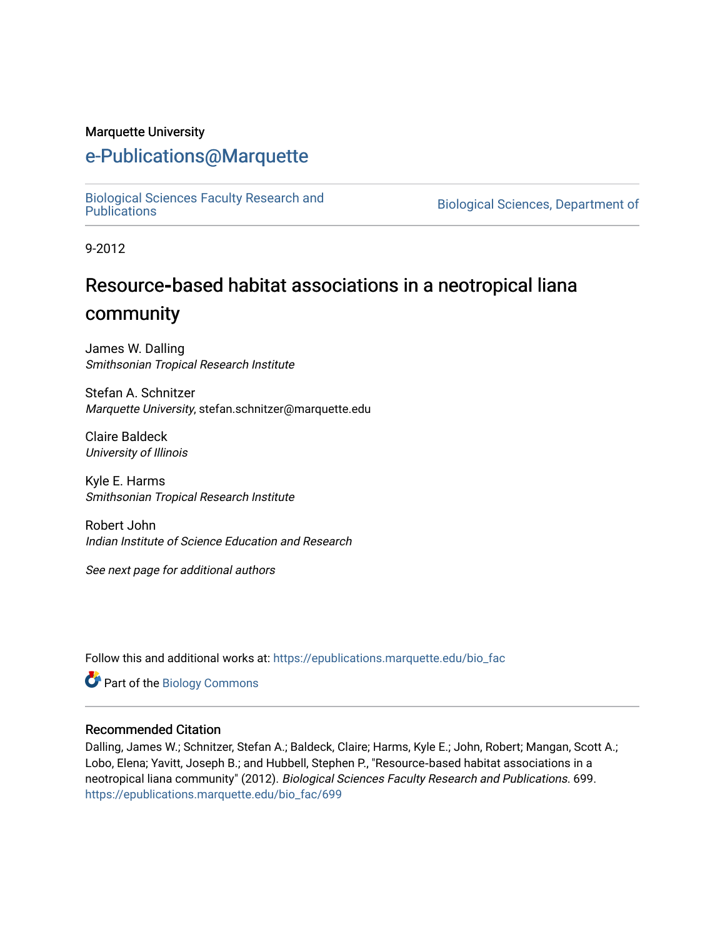#### Marquette University

# [e-Publications@Marquette](https://epublications.marquette.edu/)

[Biological Sciences Faculty Research and](https://epublications.marquette.edu/bio_fac) 

Biological Sciences, Department of

9-2012

# Resource**‐**based habitat associations in a neotropical liana community

James W. Dalling Smithsonian Tropical Research Institute

Stefan A. Schnitzer Marquette University, stefan.schnitzer@marquette.edu

Claire Baldeck University of Illinois

Kyle E. Harms Smithsonian Tropical Research Institute

Robert John Indian Institute of Science Education and Research

See next page for additional authors

Follow this and additional works at: [https://epublications.marquette.edu/bio\\_fac](https://epublications.marquette.edu/bio_fac?utm_source=epublications.marquette.edu%2Fbio_fac%2F699&utm_medium=PDF&utm_campaign=PDFCoverPages) 

Part of the [Biology Commons](http://network.bepress.com/hgg/discipline/41?utm_source=epublications.marquette.edu%2Fbio_fac%2F699&utm_medium=PDF&utm_campaign=PDFCoverPages) 

#### Recommended Citation

Dalling, James W.; Schnitzer, Stefan A.; Baldeck, Claire; Harms, Kyle E.; John, Robert; Mangan, Scott A.; Lobo, Elena; Yavitt, Joseph B.; and Hubbell, Stephen P., "Resource‐based habitat associations in a neotropical liana community" (2012). Biological Sciences Faculty Research and Publications. 699. [https://epublications.marquette.edu/bio\\_fac/699](https://epublications.marquette.edu/bio_fac/699?utm_source=epublications.marquette.edu%2Fbio_fac%2F699&utm_medium=PDF&utm_campaign=PDFCoverPages)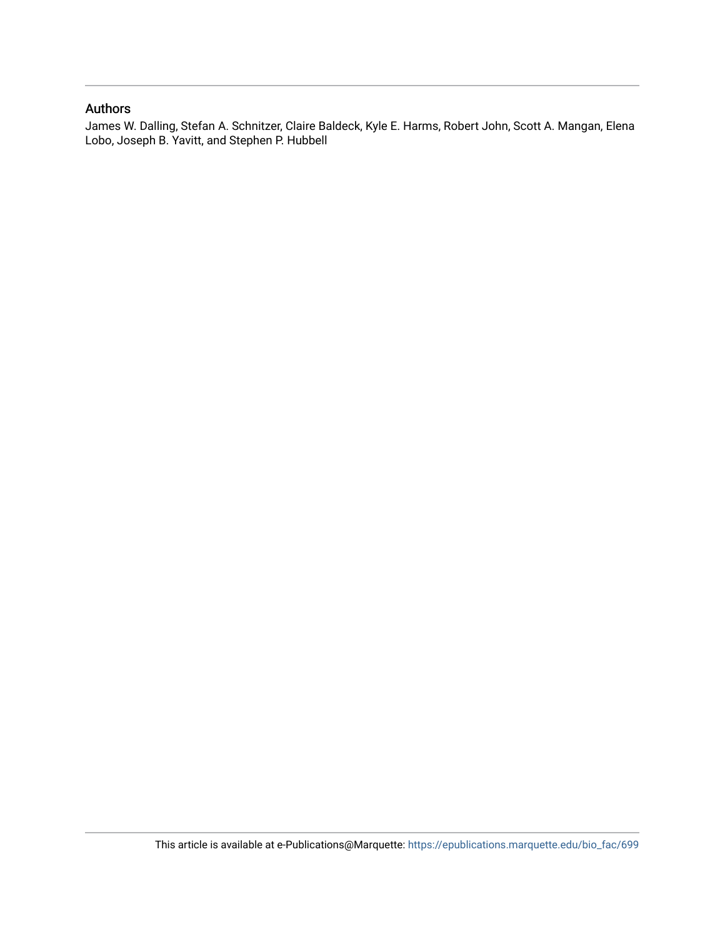#### Authors

James W. Dalling, Stefan A. Schnitzer, Claire Baldeck, Kyle E. Harms, Robert John, Scott A. Mangan, Elena Lobo, Joseph B. Yavitt, and Stephen P. Hubbell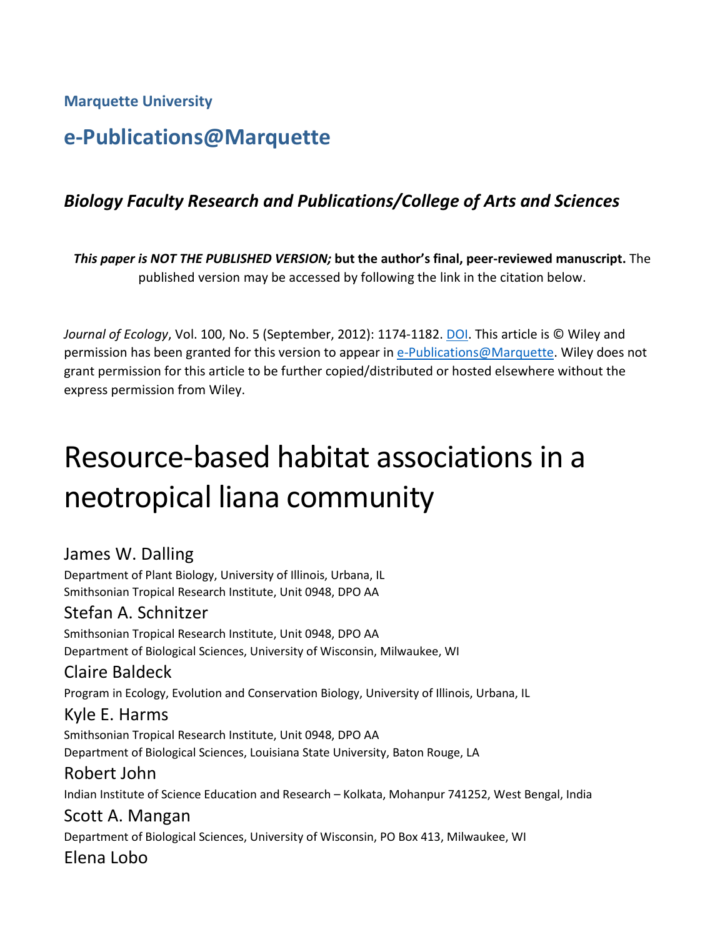**Marquette University**

# **e-Publications@Marquette**

# *Biology Faculty Research and Publications/College of Arts and Sciences*

*This paper is NOT THE PUBLISHED VERSION;* **but the author's final, peer-reviewed manuscript.** The published version may be accessed by following the link in the citation below.

*Journal of Ecology*, Vol. 100, No. 5 (September, 2012): 1174-1182. DOI. This article is © Wiley and permission has been granted for this version to appear in [e-Publications@Marquette.](http://epublications.marquette.edu/) Wiley does not grant permission for this article to be further copied/distributed or hosted elsewhere without the express permission from Wiley.

# Resource-based habitat associations in a neotropical liana community

# James W. Dalling

Department of Plant Biology, University of Illinois, Urbana, IL Smithsonian Tropical Research Institute, Unit 0948, DPO AA

# Stefan A. Schnitzer

Smithsonian Tropical Research Institute, Unit 0948, DPO AA Department of Biological Sciences, University of Wisconsin, Milwaukee, WI

# Claire Baldeck

Program in Ecology, Evolution and Conservation Biology, University of Illinois, Urbana, IL

### Kyle E. Harms

Smithsonian Tropical Research Institute, Unit 0948, DPO AA Department of Biological Sciences, Louisiana State University, Baton Rouge, LA

### Robert John

Indian Institute of Science Education and Research – Kolkata, Mohanpur 741252, West Bengal, India

# Scott A. Mangan

Department of Biological Sciences, University of Wisconsin, PO Box 413, Milwaukee, WI Elena Lobo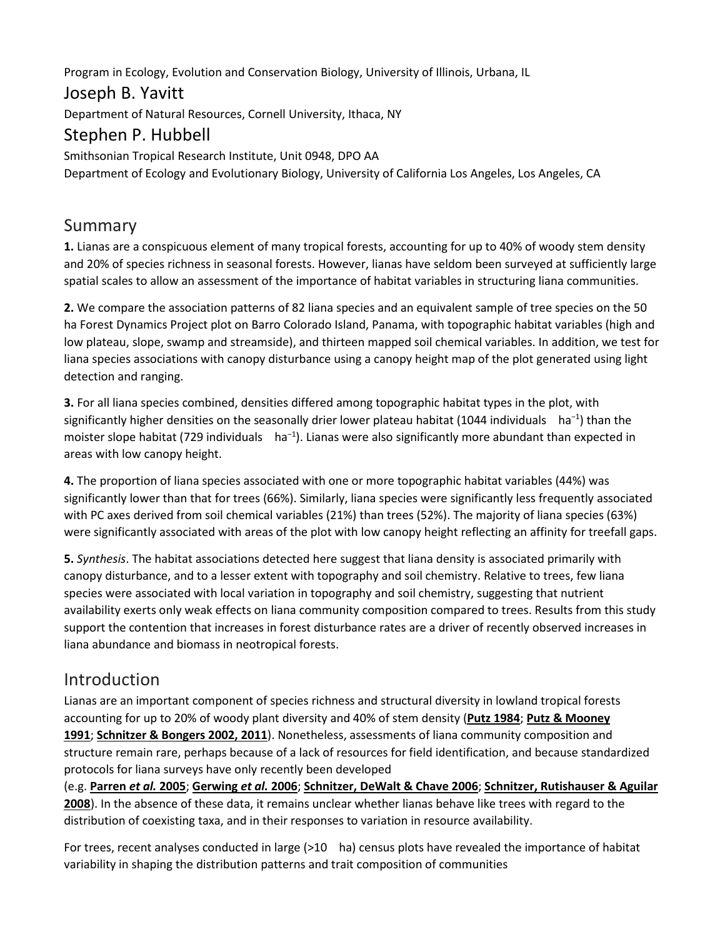Program in Ecology, Evolution and Conservation Biology, University of Illinois, Urbana, IL

# Joseph B. Yavitt

Department of Natural Resources, Cornell University, Ithaca, NY

# Stephen P. Hubbell

Smithsonian Tropical Research Institute, Unit 0948, DPO AA Department of Ecology and Evolutionary Biology, University of California Los Angeles, Los Angeles, CA

# Summary

**1.** Lianas are a conspicuous element of many tropical forests, accounting for up to 40% of woody stem density and 20% of species richness in seasonal forests. However, lianas have seldom been surveyed at sufficiently large spatial scales to allow an assessment of the importance of habitat variables in structuring liana communities.

**2.** We compare the association patterns of 82 liana species and an equivalent sample of tree species on the 50 ha Forest Dynamics Project plot on Barro Colorado Island, Panama, with topographic habitat variables (high and low plateau, slope, swamp and streamside), and thirteen mapped soil chemical variables. In addition, we test for liana species associations with canopy disturbance using a canopy height map of the plot generated using light detection and ranging.

**3.** For all liana species combined, densities differed among topographic habitat types in the plot, with significantly higher densities on the seasonally drier lower plateau habitat (1044 individuals ha<sup>−1</sup>) than the moister slope habitat (729 individuals ha<sup>-1</sup>). Lianas were also significantly more abundant than expected in areas with low canopy height.

**4.** The proportion of liana species associated with one or more topographic habitat variables (44%) was significantly lower than that for trees (66%). Similarly, liana species were significantly less frequently associated with PC axes derived from soil chemical variables (21%) than trees (52%). The majority of liana species (63%) were significantly associated with areas of the plot with low canopy height reflecting an affinity for treefall gaps.

**5.** *Synthesis*. The habitat associations detected here suggest that liana density is associated primarily with canopy disturbance, and to a lesser extent with topography and soil chemistry. Relative to trees, few liana species were associated with local variation in topography and soil chemistry, suggesting that nutrient availability exerts only weak effects on liana community composition compared to trees. Results from this study support the contention that increases in forest disturbance rates are a driver of recently observed increases in liana abundance and biomass in neotropical forests.

# Introduction

Lianas are an important component of species richness and structural diversity in lowland tropical forests accounting for up to 20% of woody plant diversity and 40% of stem density (**[Putz 1984](https://besjournals.onlinelibrary.wiley.com/doi/full/10.1111/j.1365-2745.2012.01989.x#b48)**; **[Putz & Mooney](https://besjournals.onlinelibrary.wiley.com/doi/full/10.1111/j.1365-2745.2012.01989.x#b50)  [1991](https://besjournals.onlinelibrary.wiley.com/doi/full/10.1111/j.1365-2745.2012.01989.x#b50)**; **[Schnitzer & Bongers 2002, 2011](https://besjournals.onlinelibrary.wiley.com/doi/full/10.1111/j.1365-2745.2012.01989.x#b55%20#b56)**). Nonetheless, assessments of liana community composition and structure remain rare, perhaps because of a lack of resources for field identification, and because standardized protocols for liana surveys have only recently been developed

(e.g. **[Parren](https://besjournals.onlinelibrary.wiley.com/doi/full/10.1111/j.1365-2745.2012.01989.x#b39)** *et al.* **2005**; **[Gerwing](https://besjournals.onlinelibrary.wiley.com/doi/full/10.1111/j.1365-2745.2012.01989.x#b22)** *et al.* **2006**; **[Schnitzer, DeWalt & Chave 2006](https://besjournals.onlinelibrary.wiley.com/doi/full/10.1111/j.1365-2745.2012.01989.x#b60)**; **[Schnitzer, Rutishauser & Aguilar](https://besjournals.onlinelibrary.wiley.com/doi/full/10.1111/j.1365-2745.2012.01989.x#b62)  [2008](https://besjournals.onlinelibrary.wiley.com/doi/full/10.1111/j.1365-2745.2012.01989.x#b62)**). In the absence of these data, it remains unclear whether lianas behave like trees with regard to the distribution of coexisting taxa, and in their responses to variation in resource availability.

For trees, recent analyses conducted in large (>10 ha) census plots have revealed the importance of habitat variability in shaping the distribution patterns and trait composition of communities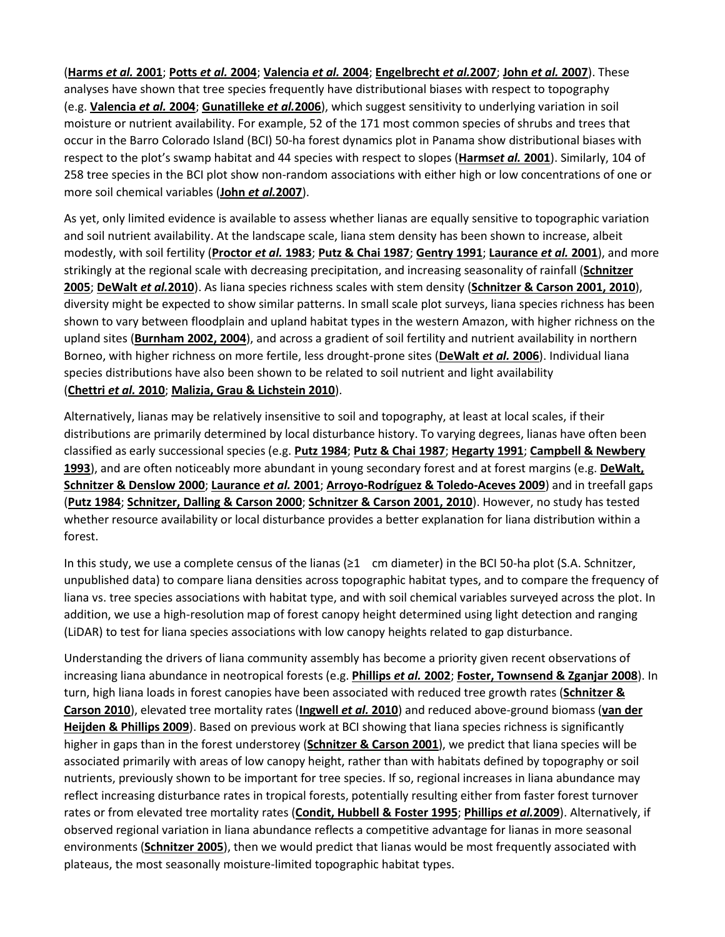([Harms](https://besjournals.onlinelibrary.wiley.com/doi/full/10.1111/j.1365-2745.2012.01989.x#b25) et al. 2001; [Potts](https://besjournals.onlinelibrary.wiley.com/doi/full/10.1111/j.1365-2745.2012.01989.x#b46) et al. 2004; [Valencia](https://besjournals.onlinelibrary.wiley.com/doi/full/10.1111/j.1365-2745.2012.01989.x#b64) et al. 2004; [Engelbrecht](https://besjournals.onlinelibrary.wiley.com/doi/full/10.1111/j.1365-2745.2012.01989.x#b18) et al.[2007](https://besjournals.onlinelibrary.wiley.com/doi/full/10.1111/j.1365-2745.2012.01989.x#b31); John et al. 2007). These analyses have shown that tree species frequently have distributional biases with respect to topography (e.g. **[Valencia](https://besjournals.onlinelibrary.wiley.com/doi/full/10.1111/j.1365-2745.2012.01989.x#b64)** *et al.* **2004**; **[Gunatilleke](https://besjournals.onlinelibrary.wiley.com/doi/full/10.1111/j.1365-2745.2012.01989.x#b24)** *et al.***2006**), which suggest sensitivity to underlying variation in soil moisture or nutrient availability. For example, 52 of the 171 most common species of shrubs and trees that occur in the Barro Colorado Island (BCI) 50-ha forest dynamics plot in Panama show distributional biases with respect to the plot's swamp habitat and 44 species with respect to slopes (**[Harms](https://besjournals.onlinelibrary.wiley.com/doi/full/10.1111/j.1365-2745.2012.01989.x#b25)***et al.* **2001**). Similarly, 104 of 258 tree species in the BCI plot show non-random associations with either high or low concentrations of one or more soil chemical variables (**John** *et al.***[2007](https://besjournals.onlinelibrary.wiley.com/doi/full/10.1111/j.1365-2745.2012.01989.x#b31)**).

As yet, only limited evidence is available to assess whether lianas are equally sensitive to topographic variation and soil nutrient availability. At the landscape scale, liana stem density has been shown to increase, albeit modestly, with soil fertility (**[Proctor](https://besjournals.onlinelibrary.wiley.com/doi/full/10.1111/j.1365-2745.2012.01989.x#b47)** *et al.* **1983**; **[Putz & Chai 1987](https://besjournals.onlinelibrary.wiley.com/doi/full/10.1111/j.1365-2745.2012.01989.x#b49)**; **[Gentry](https://besjournals.onlinelibrary.wiley.com/doi/full/10.1111/j.1365-2745.2012.01989.x#b21) 1991**; **[Laurance](https://besjournals.onlinelibrary.wiley.com/doi/full/10.1111/j.1365-2745.2012.01989.x#b33)** *et al.* **2001**), and more strikingly at the regional scale with decreasing precipitation, and increasing seasonality of rainfall (**[Schnitzer](https://besjournals.onlinelibrary.wiley.com/doi/full/10.1111/j.1365-2745.2012.01989.x#b54)  [2005](https://besjournals.onlinelibrary.wiley.com/doi/full/10.1111/j.1365-2745.2012.01989.x#b54)**; **[DeWalt](https://besjournals.onlinelibrary.wiley.com/doi/full/10.1111/j.1365-2745.2012.01989.x#b17)** *et al.***2010**). As liana species richness scales with stem density (**[Schnitzer & Carson 2001, 2010](https://besjournals.onlinelibrary.wiley.com/doi/full/10.1111/j.1365-2745.2012.01989.x#b57%20#b58)**), diversity might be expected to show similar patterns. In small scale plot surveys, liana species richness has been shown to vary between floodplain and upland habitat types in the western Amazon, with higher richness on the upland sites (**[Burnham 2002, 2004](https://besjournals.onlinelibrary.wiley.com/doi/full/10.1111/j.1365-2745.2012.01989.x#b6%20#b7)**), and across a gradient of soil fertility and nutrient availability in northern Borneo, with higher richness on more fertile, less drought-prone sites (**[DeWalt](https://besjournals.onlinelibrary.wiley.com/doi/full/10.1111/j.1365-2745.2012.01989.x#b16)** *et al.* **2006**). Individual liana species distributions have also been shown to be related to soil nutrient and light availability (**[Chettri](https://besjournals.onlinelibrary.wiley.com/doi/full/10.1111/j.1365-2745.2012.01989.x#b9)** *et al.* **2010**; **[Malizia, Grau & Lichstein 2010](https://besjournals.onlinelibrary.wiley.com/doi/full/10.1111/j.1365-2745.2012.01989.x#b36)**).

Alternatively, lianas may be relatively insensitive to soil and topography, at least at local scales, if their distributions are primarily determined by local disturbance history. To varying degrees, lianas have often been classified as early successional species (e.g. **[Putz 1984](https://besjournals.onlinelibrary.wiley.com/doi/full/10.1111/j.1365-2745.2012.01989.x#b48)**; **[Putz & Chai 1987](https://besjournals.onlinelibrary.wiley.com/doi/full/10.1111/j.1365-2745.2012.01989.x#b49)**; **[Hegarty 1991](https://besjournals.onlinelibrary.wiley.com/doi/full/10.1111/j.1365-2745.2012.01989.x#b26)**; **[Campbell & Newbery](https://besjournals.onlinelibrary.wiley.com/doi/full/10.1111/j.1365-2745.2012.01989.x#b8)  [1993](https://besjournals.onlinelibrary.wiley.com/doi/full/10.1111/j.1365-2745.2012.01989.x#b8)**), and are often noticeably more abundant in young secondary forest and at forest margins (e.g. **[DeWalt,](https://besjournals.onlinelibrary.wiley.com/doi/full/10.1111/j.1365-2745.2012.01989.x#b15)  [Schnitzer & Denslow 2000](https://besjournals.onlinelibrary.wiley.com/doi/full/10.1111/j.1365-2745.2012.01989.x#b15)**; **[Laurance](https://besjournals.onlinelibrary.wiley.com/doi/full/10.1111/j.1365-2745.2012.01989.x#b33)** *et al.* **2001**; **[Arroyo-Rodríguez & Toledo-Aceves 2009](https://besjournals.onlinelibrary.wiley.com/doi/full/10.1111/j.1365-2745.2012.01989.x#b2)**) and in treefall gaps (**[Putz 1984](https://besjournals.onlinelibrary.wiley.com/doi/full/10.1111/j.1365-2745.2012.01989.x#b48)**; **[Schnitzer, Dalling & Carson 2000](https://besjournals.onlinelibrary.wiley.com/doi/full/10.1111/j.1365-2745.2012.01989.x#b59)**; **[Schnitzer & Carson 2001, 2010](https://besjournals.onlinelibrary.wiley.com/doi/full/10.1111/j.1365-2745.2012.01989.x#b57%20#b58)**). However, no study has tested whether resource availability or local disturbance provides a better explanation for liana distribution within a forest.

In this study, we use a complete census of the lianas (≥1 cm diameter) in the BCI 50-ha plot (S.A. Schnitzer, unpublished data) to compare liana densities across topographic habitat types, and to compare the frequency of liana vs. tree species associations with habitat type, and with soil chemical variables surveyed across the plot. In addition, we use a high-resolution map of forest canopy height determined using light detection and ranging (LiDAR) to test for liana species associations with low canopy heights related to gap disturbance.

Understanding the drivers of liana community assembly has become a priority given recent observations of increasing liana abundance in neotropical forests (e.g. **[Phillips](https://besjournals.onlinelibrary.wiley.com/doi/full/10.1111/j.1365-2745.2012.01989.x#b42)** *et al.* **2002**; **[Foster, Townsend & Zganjar 2008](https://besjournals.onlinelibrary.wiley.com/doi/full/10.1111/j.1365-2745.2012.01989.x#b20)**). In turn, high liana loads in forest canopies have been associated with reduced tree growth rates (**[Schnitzer &](https://besjournals.onlinelibrary.wiley.com/doi/full/10.1111/j.1365-2745.2012.01989.x#b58)  [Carson 2010](https://besjournals.onlinelibrary.wiley.com/doi/full/10.1111/j.1365-2745.2012.01989.x#b58)**), elevated tree mortality rates (**[Ingwell](https://besjournals.onlinelibrary.wiley.com/doi/full/10.1111/j.1365-2745.2012.01989.x#b30)** *et al.* **2010**) and reduced above-ground biomass (**[van der](https://besjournals.onlinelibrary.wiley.com/doi/full/10.1111/j.1365-2745.2012.01989.x#b27)  [Heijden & Phillips 2009](https://besjournals.onlinelibrary.wiley.com/doi/full/10.1111/j.1365-2745.2012.01989.x#b27)**). Based on previous work at BCI showing that liana species richness is significantly higher in gaps than in the forest understorey (**[Schnitzer & Carson 2001](https://besjournals.onlinelibrary.wiley.com/doi/full/10.1111/j.1365-2745.2012.01989.x#b57)**), we predict that liana species will be associated primarily with areas of low canopy height, rather than with habitats defined by topography or soil nutrients, previously shown to be important for tree species. If so, regional increases in liana abundance may reflect increasing disturbance rates in tropical forests, potentially resulting either from faster forest turnover rates or from elevated tree mortality rates (**[Condit, Hubbell & Foster 1995](https://besjournals.onlinelibrary.wiley.com/doi/full/10.1111/j.1365-2745.2012.01989.x#b11)**; **[Phillips](https://besjournals.onlinelibrary.wiley.com/doi/full/10.1111/j.1365-2745.2012.01989.x#b44)** *et al.***2009**). Alternatively, if observed regional variation in liana abundance reflects a competitive advantage for lianas in more seasonal environments (**[Schnitzer 2005](https://besjournals.onlinelibrary.wiley.com/doi/full/10.1111/j.1365-2745.2012.01989.x#b54)**), then we would predict that lianas would be most frequently associated with plateaus, the most seasonally moisture-limited topographic habitat types.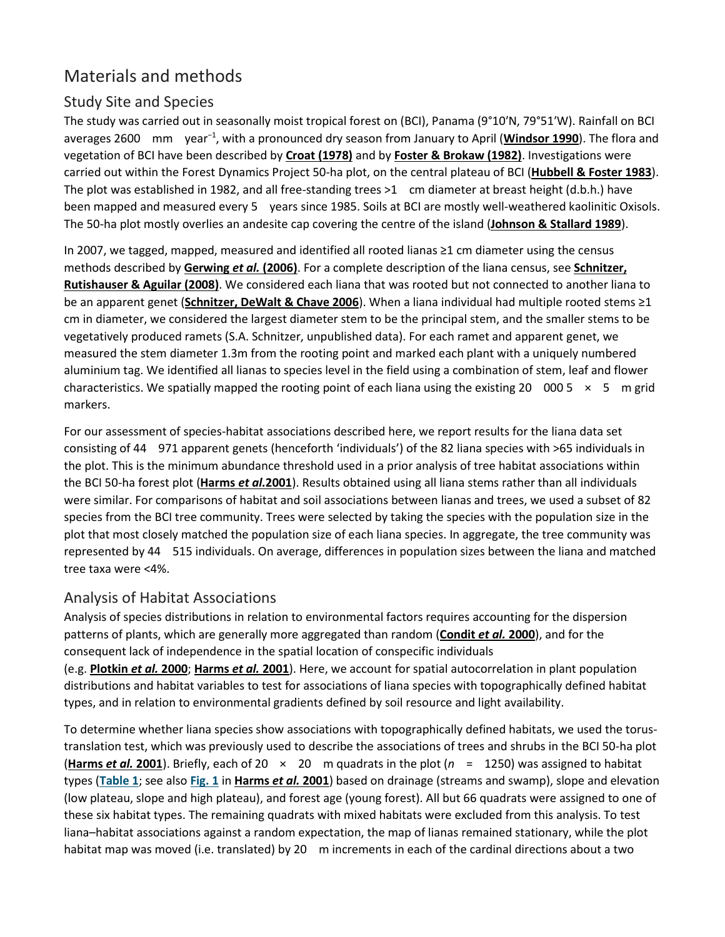# Materials and methods

### Study Site and Species

The study was carried out in seasonally moist tropical forest on (BCI), Panama (9°10′N, 79°51′W). Rainfall on BCI averages 2600 mm year<sup>−1</sup>, with a pronounced dry season from January to April ([Windsor 1990](https://besjournals.onlinelibrary.wiley.com/doi/full/10.1111/j.1365-2745.2012.01989.x#b66)). The flora and vegetation of BCI have been described by **[Croat \(1978\)](https://besjournals.onlinelibrary.wiley.com/doi/full/10.1111/j.1365-2745.2012.01989.x#b13)** and by **[Foster & Brokaw \(1982\)](https://besjournals.onlinelibrary.wiley.com/doi/full/10.1111/j.1365-2745.2012.01989.x#b19)**. Investigations were carried out within the Forest Dynamics Project 50-ha plot, on the central plateau of BCI (**[Hubbell & Foster 1983](https://besjournals.onlinelibrary.wiley.com/doi/full/10.1111/j.1365-2745.2012.01989.x#b29)**). The plot was established in 1982, and all free-standing trees >1 cm diameter at breast height (d.b.h.) have been mapped and measured every 5 years since 1985. Soils at BCI are mostly well-weathered kaolinitic Oxisols. The 50-ha plot mostly overlies an andesite cap covering the centre of the island (**[Johnson & Stallard 1989](https://besjournals.onlinelibrary.wiley.com/doi/full/10.1111/j.1365-2745.2012.01989.x#b32)**).

In 2007, we tagged, mapped, measured and identified all rooted lianas ≥1 cm diameter using the census methods described by **[Gerwing](https://besjournals.onlinelibrary.wiley.com/doi/full/10.1111/j.1365-2745.2012.01989.x#b22)** *et al.* **(2006)**. For a complete description of the liana census, see **[Schnitzer,](https://besjournals.onlinelibrary.wiley.com/doi/full/10.1111/j.1365-2745.2012.01989.x#b62)  [Rutishauser & Aguilar \(2008\)](https://besjournals.onlinelibrary.wiley.com/doi/full/10.1111/j.1365-2745.2012.01989.x#b62)**. We considered each liana that was rooted but not connected to another liana to be an apparent genet (**[Schnitzer, DeWalt & Chave 2006](https://besjournals.onlinelibrary.wiley.com/doi/full/10.1111/j.1365-2745.2012.01989.x#b60)**). When a liana individual had multiple rooted stems ≥1 cm in diameter, we considered the largest diameter stem to be the principal stem, and the smaller stems to be vegetatively produced ramets (S.A. Schnitzer, unpublished data). For each ramet and apparent genet, we measured the stem diameter 1.3m from the rooting point and marked each plant with a uniquely numbered aluminium tag. We identified all lianas to species level in the field using a combination of stem, leaf and flower characteristics. We spatially mapped the rooting point of each liana using the existing 20 000 5  $\times$  5 m grid markers.

For our assessment of species-habitat associations described here, we report results for the liana data set consisting of 44 971 apparent genets (henceforth 'individuals') of the 82 liana species with >65 individuals in the plot. This is the minimum abundance threshold used in a prior analysis of tree habitat associations within the BCI 50-ha forest plot (**[Harms](https://besjournals.onlinelibrary.wiley.com/doi/full/10.1111/j.1365-2745.2012.01989.x#b25)** *et al.***2001**). Results obtained using all liana stems rather than all individuals were similar. For comparisons of habitat and soil associations between lianas and trees, we used a subset of 82 species from the BCI tree community. Trees were selected by taking the species with the population size in the plot that most closely matched the population size of each liana species. In aggregate, the tree community was represented by 44 515 individuals. On average, differences in population sizes between the liana and matched tree taxa were <4%.

### Analysis of Habitat Associations

Analysis of species distributions in relation to environmental factors requires accounting for the dispersion patterns of plants, which are generally more aggregated than random (**[Condit](https://besjournals.onlinelibrary.wiley.com/doi/full/10.1111/j.1365-2745.2012.01989.x#b12)** *et al.* **2000**), and for the consequent lack of independence in the spatial location of conspecific individuals

(e.g. **[Plotkin](https://besjournals.onlinelibrary.wiley.com/doi/full/10.1111/j.1365-2745.2012.01989.x#b45)** *et al.* **2000**; **[Harms](https://besjournals.onlinelibrary.wiley.com/doi/full/10.1111/j.1365-2745.2012.01989.x#b25)** *et al.* **2001**). Here, we account for spatial autocorrelation in plant population distributions and habitat variables to test for associations of liana species with topographically defined habitat types, and in relation to environmental gradients defined by soil resource and light availability.

To determine whether liana species show associations with topographically defined habitats, we used the torustranslation test, which was previously used to describe the associations of trees and shrubs in the BCI 50-ha plot (**[Harms](https://besjournals.onlinelibrary.wiley.com/doi/full/10.1111/j.1365-2745.2012.01989.x#b25)** *et al.* **2001**). Briefly, each of 20 × 20 m quadrats in the plot (*n* = 1250) was assigned to habitat types (**[Table](https://besjournals.onlinelibrary.wiley.com/doi/full/10.1111/j.1365-2745.2012.01989.x#t1) 1**; see also **[Fig.](https://besjournals.onlinelibrary.wiley.com/doi/full/10.1111/j.1365-2745.2012.01989.x#f1) 1** in **[Harms](https://besjournals.onlinelibrary.wiley.com/doi/full/10.1111/j.1365-2745.2012.01989.x#b25)** *et al.* **2001**) based on drainage (streams and swamp), slope and elevation (low plateau, slope and high plateau), and forest age (young forest). All but 66 quadrats were assigned to one of these six habitat types. The remaining quadrats with mixed habitats were excluded from this analysis. To test liana–habitat associations against a random expectation, the map of lianas remained stationary, while the plot habitat map was moved (i.e. translated) by 20 m increments in each of the cardinal directions about a two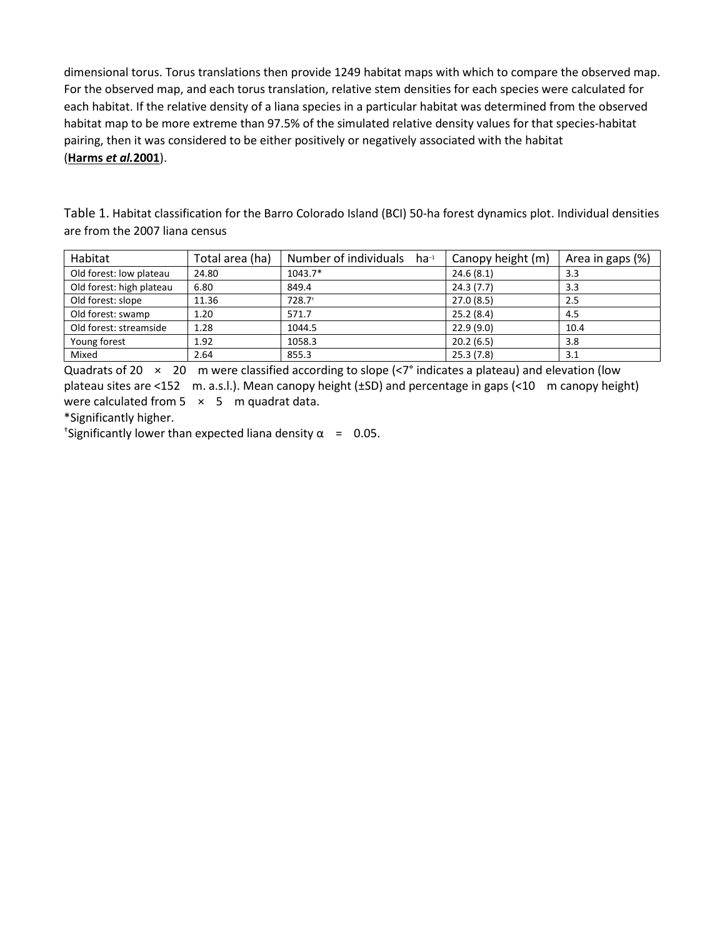dimensional torus. Torus translations then provide 1249 habitat maps with which to compare the observed map. For the observed map, and each torus translation, relative stem densities for each species were calculated for each habitat. If the relative density of a liana species in a particular habitat was determined from the observed habitat map to be more extreme than 97.5% of the simulated relative density values for that species-habitat pairing, then it was considered to be either positively or negatively associated with the habitat (**[Harms](https://besjournals.onlinelibrary.wiley.com/doi/full/10.1111/j.1365-2745.2012.01989.x#b25)** *et al.***2001**).

Table 1. Habitat classification for the Barro Colorado Island (BCI) 50-ha forest dynamics plot. Individual densities are from the 2007 liana census

| Habitat                  | Total area (ha) | Number of individuals $ha^{-1}$ | Canopy height (m) | Area in gaps (%) |
|--------------------------|-----------------|---------------------------------|-------------------|------------------|
| Old forest: low plateau  | 24.80           | $1043.7*$                       | 24.6(8.1)         | 3.3              |
| Old forest: high plateau | 6.80            | 849.4                           | 24.3(7.7)         | 3.3              |
| Old forest: slope        | 11.36           | $728.7$ <sup>+</sup>            | 27.0(8.5)         | 2.5              |
| Old forest: swamp        | 1.20            | 571.7                           | 25.2(8.4)         | 4.5              |
| Old forest: streamside   | 1.28            | 1044.5                          | 22.9(9.0)         | 10.4             |
| Young forest             | 1.92            | 1058.3                          | 20.2(6.5)         | 3.8              |
| Mixed                    | 2.64            | 855.3                           | 25.3(7.8)         | 3.1              |

Quadrats of 20  $\times$  20 m were classified according to slope (<7° indicates a plateau) and elevation (low plateau sites are <152 m. a.s.l.). Mean canopy height (±SD) and percentage in gaps (<10 m canopy height) were calculated from  $5 \times 5$  m quadrat data.

\*Significantly higher.

<sup>+</sup>Significantly lower than expected liana density  $\alpha = 0.05$ .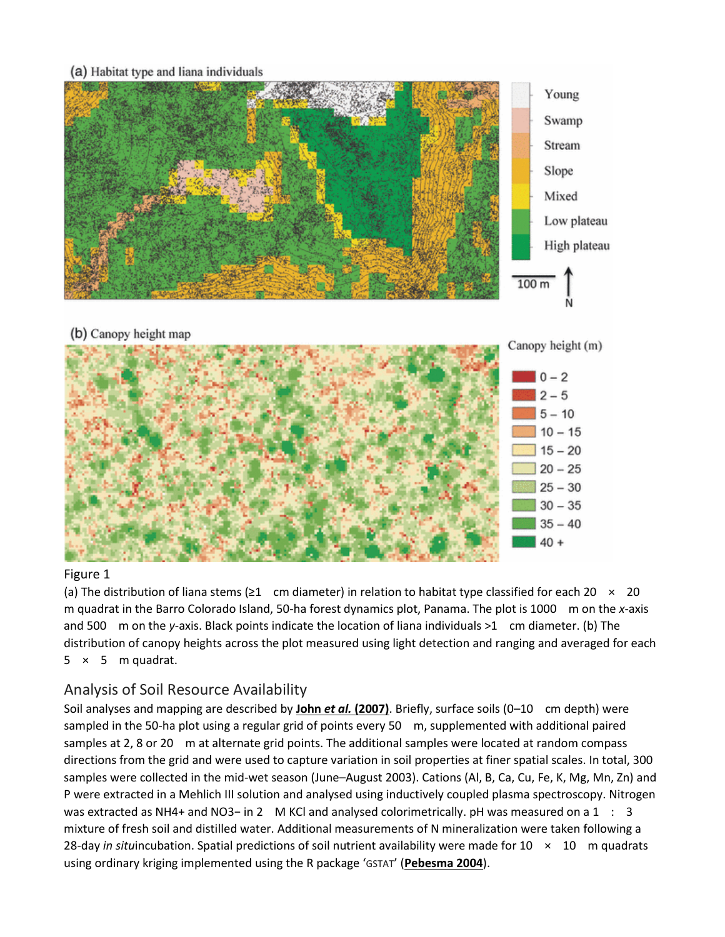#### (a) Habitat type and liana individuals



#### Figure 1

(a) The distribution of liana stems ( $\geq 1$  cm diameter) in relation to habitat type classified for each 20  $\times$  20 m quadrat in the Barro Colorado Island, 50-ha forest dynamics plot, Panama. The plot is 1000 m on the *x*-axis and 500 m on the *y*-axis. Black points indicate the location of liana individuals >1 cm diameter. (b) The distribution of canopy heights across the plot measured using light detection and ranging and averaged for each  $5 \times 5$  m quadrat.

### Analysis of Soil Resource Availability

Soil analyses and mapping are described by **John** *et al.* **[\(2007\)](https://besjournals.onlinelibrary.wiley.com/doi/full/10.1111/j.1365-2745.2012.01989.x#b31)**. Briefly, surface soils (0–10 cm depth) were sampled in the 50-ha plot using a regular grid of points every 50 m, supplemented with additional paired samples at 2, 8 or 20 m at alternate grid points. The additional samples were located at random compass directions from the grid and were used to capture variation in soil properties at finer spatial scales. In total, 300 samples were collected in the mid-wet season (June–August 2003). Cations (Al, B, Ca, Cu, Fe, K, Mg, Mn, Zn) and P were extracted in a Mehlich III solution and analysed using inductively coupled plasma spectroscopy. Nitrogen was extracted as NH4+ and NO3− in 2 M KCl and analysed colorimetrically. pH was measured on a 1 : 3 mixture of fresh soil and distilled water. Additional measurements of N mineralization were taken following a 28-day *in situ*incubation. Spatial predictions of soil nutrient availability were made for 10 × 10 m quadrats using ordinary kriging implemented using the R package 'GSTAT' (**[Pebesma 2004](https://besjournals.onlinelibrary.wiley.com/doi/full/10.1111/j.1365-2745.2012.01989.x#b40)**).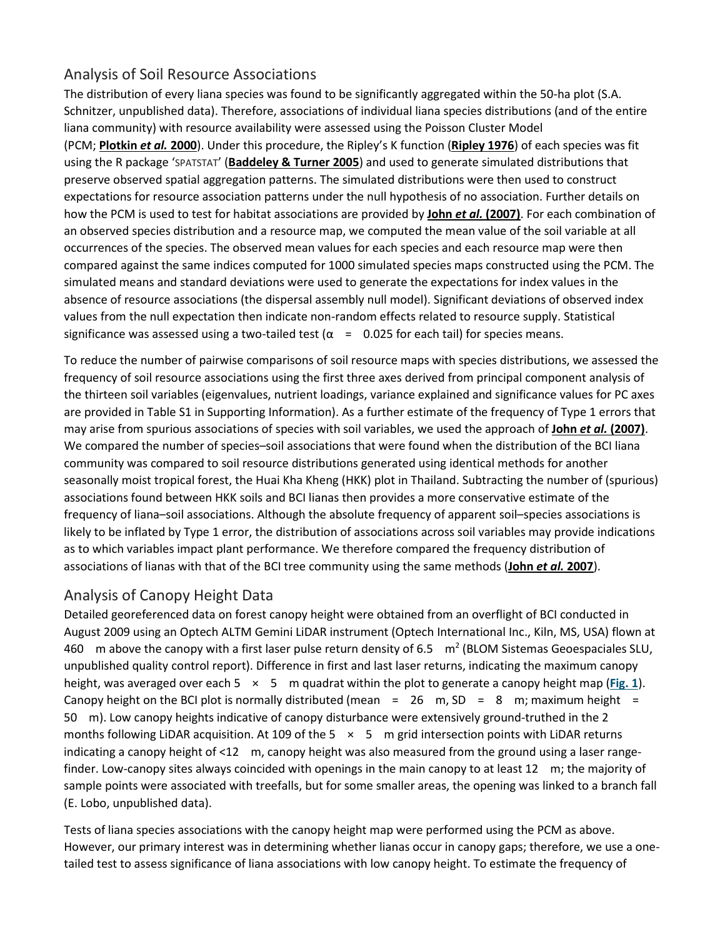### Analysis of Soil Resource Associations

The distribution of every liana species was found to be significantly aggregated within the 50-ha plot (S.A. Schnitzer, unpublished data). Therefore, associations of individual liana species distributions (and of the entire liana community) with resource availability were assessed using the Poisson Cluster Model (PCM; **[Plotkin](https://besjournals.onlinelibrary.wiley.com/doi/full/10.1111/j.1365-2745.2012.01989.x#b45)** *et al.* **2000**). Under this procedure, the Ripley's K function (**[Ripley 1976](https://besjournals.onlinelibrary.wiley.com/doi/full/10.1111/j.1365-2745.2012.01989.x#b51)**) of each species was fit using the R package 'SPATSTAT' (**[Baddeley & Turner 2005](https://besjournals.onlinelibrary.wiley.com/doi/full/10.1111/j.1365-2745.2012.01989.x#b4)**) and used to generate simulated distributions that preserve observed spatial aggregation patterns. The simulated distributions were then used to construct expectations for resource association patterns under the null hypothesis of no association. Further details on how the PCM is used to test for habitat associations are provided by **John** *et al.* **[\(2007\)](https://besjournals.onlinelibrary.wiley.com/doi/full/10.1111/j.1365-2745.2012.01989.x#b31)**. For each combination of an observed species distribution and a resource map, we computed the mean value of the soil variable at all occurrences of the species. The observed mean values for each species and each resource map were then compared against the same indices computed for 1000 simulated species maps constructed using the PCM. The simulated means and standard deviations were used to generate the expectations for index values in the absence of resource associations (the dispersal assembly null model). Significant deviations of observed index values from the null expectation then indicate non-random effects related to resource supply. Statistical significance was assessed using a two-tailed test  $(\alpha = 0.025$  for each tail) for species means.

To reduce the number of pairwise comparisons of soil resource maps with species distributions, we assessed the frequency of soil resource associations using the first three axes derived from principal component analysis of the thirteen soil variables (eigenvalues, nutrient loadings, variance explained and significance values for PC axes are provided in Table S1 in Supporting Information). As a further estimate of the frequency of Type 1 errors that may arise from spurious associations of species with soil variables, we used the approach of **John** *et al.* **[\(2007\)](https://besjournals.onlinelibrary.wiley.com/doi/full/10.1111/j.1365-2745.2012.01989.x#b31)**. We compared the number of species–soil associations that were found when the distribution of the BCI liana community was compared to soil resource distributions generated using identical methods for another seasonally moist tropical forest, the Huai Kha Kheng (HKK) plot in Thailand. Subtracting the number of (spurious) associations found between HKK soils and BCI lianas then provides a more conservative estimate of the frequency of liana–soil associations. Although the absolute frequency of apparent soil–species associations is likely to be inflated by Type 1 error, the distribution of associations across soil variables may provide indications as to which variables impact plant performance. We therefore compared the frequency distribution of associations of lianas with that of the BCI tree community using the same methods (**John** *et al.* **[2007](https://besjournals.onlinelibrary.wiley.com/doi/full/10.1111/j.1365-2745.2012.01989.x#b31)**).

### Analysis of Canopy Height Data

Detailed georeferenced data on forest canopy height were obtained from an overflight of BCI conducted in August 2009 using an Optech ALTM Gemini LiDAR instrument (Optech International Inc., Kiln, MS, USA) flown at 460 m above the canopy with a first laser pulse return density of 6.5  $\,$  m<sup>2</sup> (BLOM Sistemas Geoespaciales SLU, unpublished quality control report). Difference in first and last laser returns, indicating the maximum canopy height, was averaged over each 5 × 5 m quadrat within the plot to generate a canopy height map (**[Fig.](https://besjournals.onlinelibrary.wiley.com/doi/full/10.1111/j.1365-2745.2012.01989.x#f1) 1**). Canopy height on the BCI plot is normally distributed (mean = 26 m, SD = 8 m; maximum height = 50 m). Low canopy heights indicative of canopy disturbance were extensively ground-truthed in the 2 months following LiDAR acquisition. At 109 of the 5  $\times$  5 m grid intersection points with LiDAR returns indicating a canopy height of  $\leq 12$  m, canopy height was also measured from the ground using a laser rangefinder. Low-canopy sites always coincided with openings in the main canopy to at least 12 m; the majority of sample points were associated with treefalls, but for some smaller areas, the opening was linked to a branch fall (E. Lobo, unpublished data).

Tests of liana species associations with the canopy height map were performed using the PCM as above. However, our primary interest was in determining whether lianas occur in canopy gaps; therefore, we use a onetailed test to assess significance of liana associations with low canopy height. To estimate the frequency of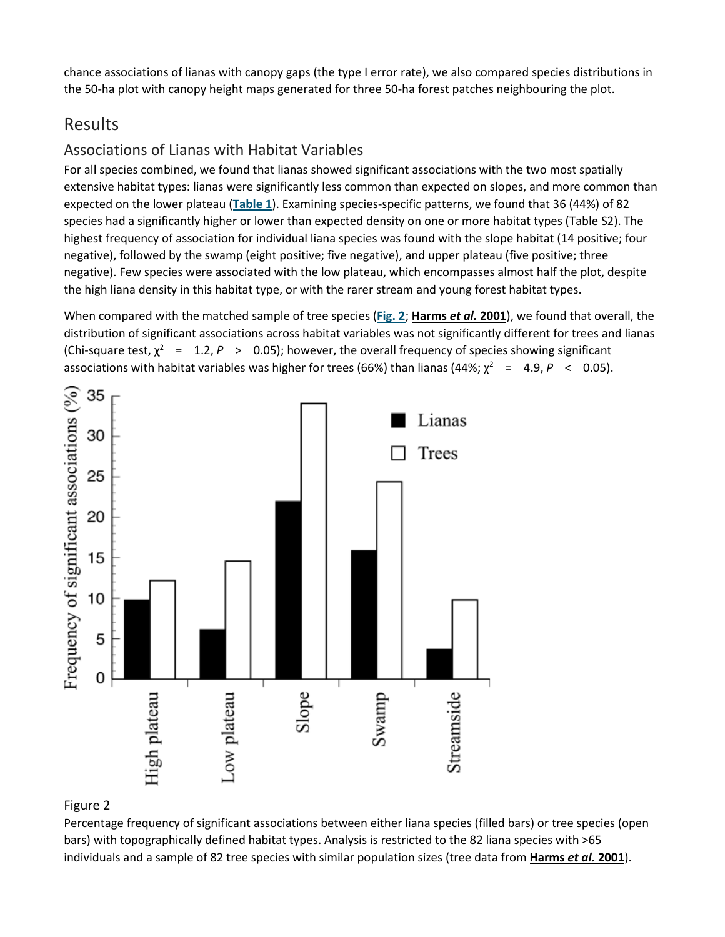chance associations of lianas with canopy gaps (the type I error rate), we also compared species distributions in the 50-ha plot with canopy height maps generated for three 50-ha forest patches neighbouring the plot.

# Results

### Associations of Lianas with Habitat Variables

For all species combined, we found that lianas showed significant associations with the two most spatially extensive habitat types: lianas were significantly less common than expected on slopes, and more common than expected on the lower plateau (**[Table](https://besjournals.onlinelibrary.wiley.com/doi/full/10.1111/j.1365-2745.2012.01989.x#t1) 1**). Examining species-specific patterns, we found that 36 (44%) of 82 species had a significantly higher or lower than expected density on one or more habitat types (Table S2). The highest frequency of association for individual liana species was found with the slope habitat (14 positive; four negative), followed by the swamp (eight positive; five negative), and upper plateau (five positive; three negative). Few species were associated with the low plateau, which encompasses almost half the plot, despite the high liana density in this habitat type, or with the rarer stream and young forest habitat types.

When compared with the matched sample of tree species (**[Fig.](https://besjournals.onlinelibrary.wiley.com/doi/full/10.1111/j.1365-2745.2012.01989.x#f2) 2**; **[Harms](https://besjournals.onlinelibrary.wiley.com/doi/full/10.1111/j.1365-2745.2012.01989.x#b25)** *et al.* **2001**), we found that overall, the distribution of significant associations across habitat variables was not significantly different for trees and lianas (Chi-square test,  $\chi^2$  = 1.2, *P* > 0.05); however, the overall frequency of species showing significant associations with habitat variables was higher for trees (66%) than lianas (44%;  $\chi^2$  = 4.9, *P* < 0.05).



#### Figure 2

Percentage frequency of significant associations between either liana species (filled bars) or tree species (open bars) with topographically defined habitat types. Analysis is restricted to the 82 liana species with >65 individuals and a sample of 82 tree species with similar population sizes (tree data from **[Harms](https://besjournals.onlinelibrary.wiley.com/doi/full/10.1111/j.1365-2745.2012.01989.x#b25)** *et al.* **2001**).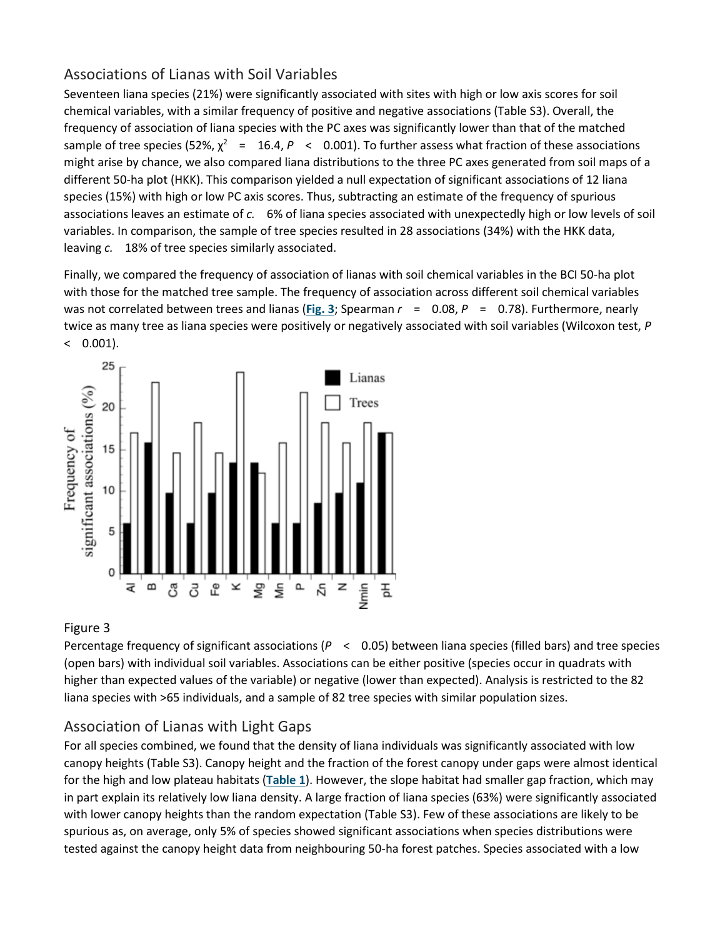### Associations of Lianas with Soil Variables

Seventeen liana species (21%) were significantly associated with sites with high or low axis scores for soil chemical variables, with a similar frequency of positive and negative associations (Table S3). Overall, the frequency of association of liana species with the PC axes was significantly lower than that of the matched sample of tree species (52%,  $\chi^2$  = 16.4, *P* < 0.001). To further assess what fraction of these associations might arise by chance, we also compared liana distributions to the three PC axes generated from soil maps of a different 50-ha plot (HKK). This comparison yielded a null expectation of significant associations of 12 liana species (15%) with high or low PC axis scores. Thus, subtracting an estimate of the frequency of spurious associations leaves an estimate of *c.* 6% of liana species associated with unexpectedly high or low levels of soil variables. In comparison, the sample of tree species resulted in 28 associations (34%) with the HKK data, leaving *c.* 18% of tree species similarly associated.

Finally, we compared the frequency of association of lianas with soil chemical variables in the BCI 50-ha plot with those for the matched tree sample. The frequency of association across different soil chemical variables was not correlated between trees and lianas (**[Fig.](https://besjournals.onlinelibrary.wiley.com/doi/full/10.1111/j.1365-2745.2012.01989.x#f3) 3**; Spearman *r* = 0.08, *P* = 0.78). Furthermore, nearly twice as many tree as liana species were positively or negatively associated with soil variables (Wilcoxon test, *P*  $($  0.001).



#### Figure 3

Percentage frequency of significant associations (*P* < 0.05) between liana species (filled bars) and tree species (open bars) with individual soil variables. Associations can be either positive (species occur in quadrats with higher than expected values of the variable) or negative (lower than expected). Analysis is restricted to the 82 liana species with >65 individuals, and a sample of 82 tree species with similar population sizes.

### Association of Lianas with Light Gaps

For all species combined, we found that the density of liana individuals was significantly associated with low canopy heights (Table S3). Canopy height and the fraction of the forest canopy under gaps were almost identical for the high and low plateau habitats (**[Table](https://besjournals.onlinelibrary.wiley.com/doi/full/10.1111/j.1365-2745.2012.01989.x#t1) 1**). However, the slope habitat had smaller gap fraction, which may in part explain its relatively low liana density. A large fraction of liana species (63%) were significantly associated with lower canopy heights than the random expectation (Table S3). Few of these associations are likely to be spurious as, on average, only 5% of species showed significant associations when species distributions were tested against the canopy height data from neighbouring 50-ha forest patches. Species associated with a low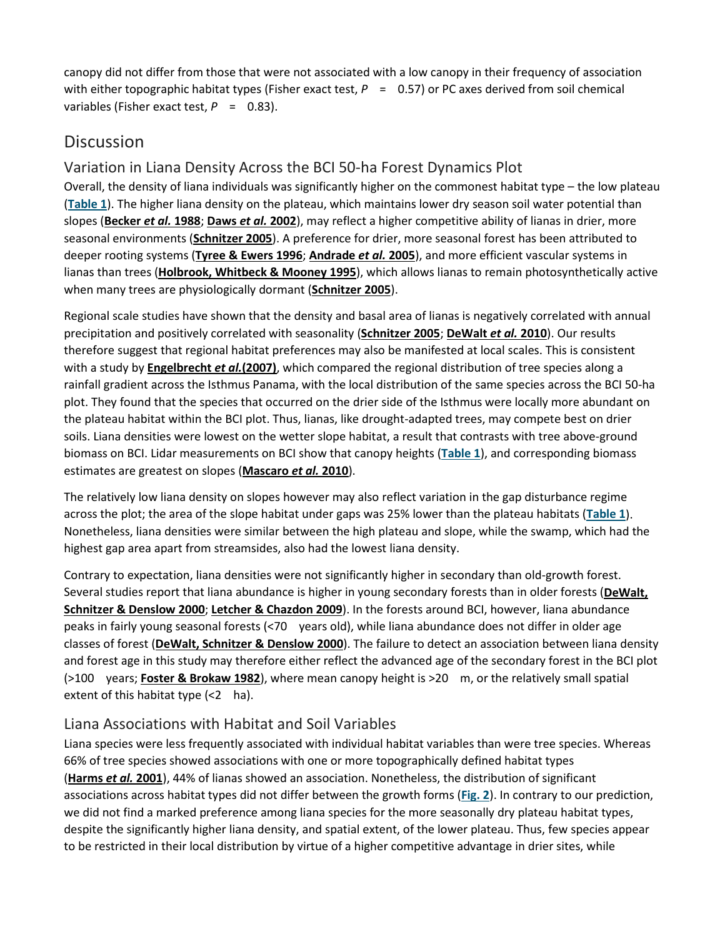canopy did not differ from those that were not associated with a low canopy in their frequency of association with either topographic habitat types (Fisher exact test,  $P = 0.57$ ) or PC axes derived from soil chemical variables (Fisher exact test,  $P = 0.83$ ).

# **Discussion**

### Variation in Liana Density Across the BCI 50-ha Forest Dynamics Plot

Overall, the density of liana individuals was significantly higher on the commonest habitat type – the low plateau (**[Table](https://besjournals.onlinelibrary.wiley.com/doi/full/10.1111/j.1365-2745.2012.01989.x#t1) 1**). The higher liana density on the plateau, which maintains lower dry season soil water potential than slopes (**[Becker](https://besjournals.onlinelibrary.wiley.com/doi/full/10.1111/j.1365-2745.2012.01989.x#b5)** *et al.* **1988**; **[Daws](https://besjournals.onlinelibrary.wiley.com/doi/full/10.1111/j.1365-2745.2012.01989.x#b14)** *et al.* **2002**), may reflect a higher competitive ability of lianas in drier, more seasonal environments (**[Schnitzer 2005](https://besjournals.onlinelibrary.wiley.com/doi/full/10.1111/j.1365-2745.2012.01989.x#b54)**). A preference for drier, more seasonal forest has been attributed to deeper rooting systems (**[Tyree & Ewers 1996](https://besjournals.onlinelibrary.wiley.com/doi/full/10.1111/j.1365-2745.2012.01989.x#b63)**; **[Andrade](https://besjournals.onlinelibrary.wiley.com/doi/full/10.1111/j.1365-2745.2012.01989.x#b1)** *et al.* **2005**), and more efficient vascular systems in lianas than trees (**[Holbrook, Whitbeck & Mooney 1995](https://besjournals.onlinelibrary.wiley.com/doi/full/10.1111/j.1365-2745.2012.01989.x#b28)**), which allows lianas to remain photosynthetically active when many trees are physiologically dormant (**[Schnitzer 2005](https://besjournals.onlinelibrary.wiley.com/doi/full/10.1111/j.1365-2745.2012.01989.x#b54)**).

Regional scale studies have shown that the density and basal area of lianas is negatively correlated with annual precipitation and positively correlated with seasonality (**[Schnitzer 2005](https://besjournals.onlinelibrary.wiley.com/doi/full/10.1111/j.1365-2745.2012.01989.x#b54)**; **[DeWalt](https://besjournals.onlinelibrary.wiley.com/doi/full/10.1111/j.1365-2745.2012.01989.x#b17)** *et al.* **2010**). Our results therefore suggest that regional habitat preferences may also be manifested at local scales. This is consistent with a study by **[Engelbrecht](https://besjournals.onlinelibrary.wiley.com/doi/full/10.1111/j.1365-2745.2012.01989.x#b18)** *et al.***(2007)**, which compared the regional distribution of tree species along a rainfall gradient across the Isthmus Panama, with the local distribution of the same species across the BCI 50-ha plot. They found that the species that occurred on the drier side of the Isthmus were locally more abundant on the plateau habitat within the BCI plot. Thus, lianas, like drought-adapted trees, may compete best on drier soils. Liana densities were lowest on the wetter slope habitat, a result that contrasts with tree above-ground biomass on BCI. Lidar measurements on BCI show that canopy heights (**[Table](https://besjournals.onlinelibrary.wiley.com/doi/full/10.1111/j.1365-2745.2012.01989.x#t1) 1**), and corresponding biomass estimates are greatest on slopes (**[Mascaro](https://besjournals.onlinelibrary.wiley.com/doi/full/10.1111/j.1365-2745.2012.01989.x#b37)** *et al.* **2010**).

The relatively low liana density on slopes however may also reflect variation in the gap disturbance regime across the plot; the area of the slope habitat under gaps was 25% lower than the plateau habitats (**[Table](https://besjournals.onlinelibrary.wiley.com/doi/full/10.1111/j.1365-2745.2012.01989.x#t1) 1**). Nonetheless, liana densities were similar between the high plateau and slope, while the swamp, which had the highest gap area apart from streamsides, also had the lowest liana density.

Contrary to expectation, liana densities were not significantly higher in secondary than old-growth forest. Several studies report that liana abundance is higher in young secondary forests than in older forests (**[DeWalt,](https://besjournals.onlinelibrary.wiley.com/doi/full/10.1111/j.1365-2745.2012.01989.x#b15)  [Schnitzer & Denslow 2000](https://besjournals.onlinelibrary.wiley.com/doi/full/10.1111/j.1365-2745.2012.01989.x#b15)**; **[Letcher & Chazdon 2009](https://besjournals.onlinelibrary.wiley.com/doi/full/10.1111/j.1365-2745.2012.01989.x#b34)**). In the forests around BCI, however, liana abundance peaks in fairly young seasonal forests (<70 years old), while liana abundance does not differ in older age classes of forest (**[DeWalt, Schnitzer & Denslow 2000](https://besjournals.onlinelibrary.wiley.com/doi/full/10.1111/j.1365-2745.2012.01989.x#b15)**). The failure to detect an association between liana density and forest age in this study may therefore either reflect the advanced age of the secondary forest in the BCI plot (>100 years; **[Foster & Brokaw 1982](https://besjournals.onlinelibrary.wiley.com/doi/full/10.1111/j.1365-2745.2012.01989.x#b19)**), where mean canopy height is >20 m, or the relatively small spatial extent of this habitat type (<2 ha).

### Liana Associations with Habitat and Soil Variables

Liana species were less frequently associated with individual habitat variables than were tree species. Whereas 66% of tree species showed associations with one or more topographically defined habitat types (**[Harms](https://besjournals.onlinelibrary.wiley.com/doi/full/10.1111/j.1365-2745.2012.01989.x#b25)** *et al.* **2001**), 44% of lianas showed an association. Nonetheless, the distribution of significant associations across habitat types did not differ between the growth forms (**[Fig.](https://besjournals.onlinelibrary.wiley.com/doi/full/10.1111/j.1365-2745.2012.01989.x#f2) 2**). In contrary to our prediction, we did not find a marked preference among liana species for the more seasonally dry plateau habitat types, despite the significantly higher liana density, and spatial extent, of the lower plateau. Thus, few species appear to be restricted in their local distribution by virtue of a higher competitive advantage in drier sites, while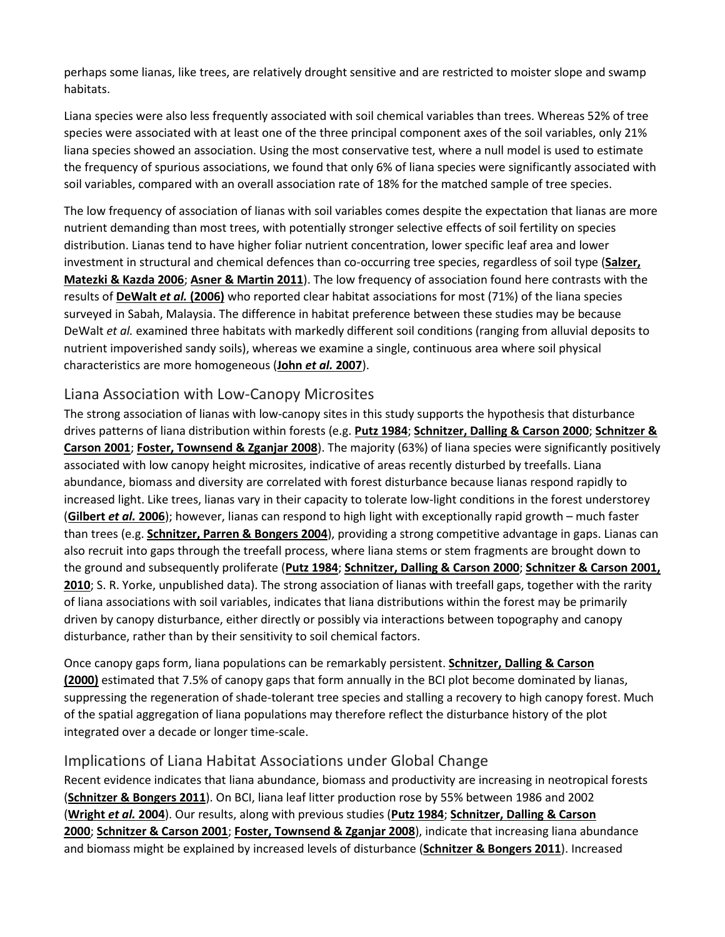perhaps some lianas, like trees, are relatively drought sensitive and are restricted to moister slope and swamp habitats.

Liana species were also less frequently associated with soil chemical variables than trees. Whereas 52% of tree species were associated with at least one of the three principal component axes of the soil variables, only 21% liana species showed an association. Using the most conservative test, where a null model is used to estimate the frequency of spurious associations, we found that only 6% of liana species were significantly associated with soil variables, compared with an overall association rate of 18% for the matched sample of tree species.

The low frequency of association of lianas with soil variables comes despite the expectation that lianas are more nutrient demanding than most trees, with potentially stronger selective effects of soil fertility on species distribution. Lianas tend to have higher foliar nutrient concentration, lower specific leaf area and lower investment in structural and chemical defences than co-occurring tree species, regardless of soil type (**[Salzer,](https://besjournals.onlinelibrary.wiley.com/doi/full/10.1111/j.1365-2745.2012.01989.x#b53)  [Matezki & Kazda 2006](https://besjournals.onlinelibrary.wiley.com/doi/full/10.1111/j.1365-2745.2012.01989.x#b53)**; **[Asner & Martin 2011](https://besjournals.onlinelibrary.wiley.com/doi/full/10.1111/j.1365-2745.2012.01989.x#b3)**). The low frequency of association found here contrasts with the results of **[DeWalt](https://besjournals.onlinelibrary.wiley.com/doi/full/10.1111/j.1365-2745.2012.01989.x#b16)** *et al.* **(2006)** who reported clear habitat associations for most (71%) of the liana species surveyed in Sabah, Malaysia. The difference in habitat preference between these studies may be because DeWalt *et al.* examined three habitats with markedly different soil conditions (ranging from alluvial deposits to nutrient impoverished sandy soils), whereas we examine a single, continuous area where soil physical characteristics are more homogeneous (**John** *et al.* **[2007](https://besjournals.onlinelibrary.wiley.com/doi/full/10.1111/j.1365-2745.2012.01989.x#b31)**).

#### Liana Association with Low-Canopy Microsites

The strong association of lianas with low-canopy sites in this study supports the hypothesis that disturbance drives patterns of liana distribution within forests (e.g. **[Putz 1984](https://besjournals.onlinelibrary.wiley.com/doi/full/10.1111/j.1365-2745.2012.01989.x#b48)**; **[Schnitzer, Dalling & Carson 2000](https://besjournals.onlinelibrary.wiley.com/doi/full/10.1111/j.1365-2745.2012.01989.x#b59)**; **[Schnitzer &](https://besjournals.onlinelibrary.wiley.com/doi/full/10.1111/j.1365-2745.2012.01989.x#b57)  [Carson 2001](https://besjournals.onlinelibrary.wiley.com/doi/full/10.1111/j.1365-2745.2012.01989.x#b57)**; **[Foster, Townsend & Zganjar 2008](https://besjournals.onlinelibrary.wiley.com/doi/full/10.1111/j.1365-2745.2012.01989.x#b20)**). The majority (63%) of liana species were significantly positively associated with low canopy height microsites, indicative of areas recently disturbed by treefalls. Liana abundance, biomass and diversity are correlated with forest disturbance because lianas respond rapidly to increased light. Like trees, lianas vary in their capacity to tolerate low-light conditions in the forest understorey (**[Gilbert](https://besjournals.onlinelibrary.wiley.com/doi/full/10.1111/j.1365-2745.2012.01989.x#b23)** *et al.* **2006**); however, lianas can respond to high light with exceptionally rapid growth – much faster than trees (e.g. **[Schnitzer, Parren & Bongers 2004](https://besjournals.onlinelibrary.wiley.com/doi/full/10.1111/j.1365-2745.2012.01989.x#b61)**), providing a strong competitive advantage in gaps. Lianas can also recruit into gaps through the treefall process, where liana stems or stem fragments are brought down to the ground and subsequently proliferate (**[Putz 1984](https://besjournals.onlinelibrary.wiley.com/doi/full/10.1111/j.1365-2745.2012.01989.x#b48)**; **[Schnitzer, Dalling & Carson 2000](https://besjournals.onlinelibrary.wiley.com/doi/full/10.1111/j.1365-2745.2012.01989.x#b59)**; **[Schnitzer & Carson 2001,](https://besjournals.onlinelibrary.wiley.com/doi/full/10.1111/j.1365-2745.2012.01989.x#b57%20#b58)  [2010](https://besjournals.onlinelibrary.wiley.com/doi/full/10.1111/j.1365-2745.2012.01989.x#b57%20#b58)**; S. R. Yorke, unpublished data). The strong association of lianas with treefall gaps, together with the rarity of liana associations with soil variables, indicates that liana distributions within the forest may be primarily driven by canopy disturbance, either directly or possibly via interactions between topography and canopy disturbance, rather than by their sensitivity to soil chemical factors.

Once canopy gaps form, liana populations can be remarkably persistent. **[Schnitzer, Dalling & Carson](https://besjournals.onlinelibrary.wiley.com/doi/full/10.1111/j.1365-2745.2012.01989.x#b59)  [\(2000\)](https://besjournals.onlinelibrary.wiley.com/doi/full/10.1111/j.1365-2745.2012.01989.x#b59)** estimated that 7.5% of canopy gaps that form annually in the BCI plot become dominated by lianas, suppressing the regeneration of shade-tolerant tree species and stalling a recovery to high canopy forest. Much of the spatial aggregation of liana populations may therefore reflect the disturbance history of the plot integrated over a decade or longer time-scale.

### Implications of Liana Habitat Associations under Global Change

Recent evidence indicates that liana abundance, biomass and productivity are increasing in neotropical forests (**[Schnitzer & Bongers 2011](https://besjournals.onlinelibrary.wiley.com/doi/full/10.1111/j.1365-2745.2012.01989.x#b56)**). On BCI, liana leaf litter production rose by 55% between 1986 and 2002 (**[Wright](https://besjournals.onlinelibrary.wiley.com/doi/full/10.1111/j.1365-2745.2012.01989.x#b67)** *et al.* **2004**). Our results, along with previous studies (**[Putz 1984](https://besjournals.onlinelibrary.wiley.com/doi/full/10.1111/j.1365-2745.2012.01989.x#b48)**; **[Schnitzer, Dalling & Carson](https://besjournals.onlinelibrary.wiley.com/doi/full/10.1111/j.1365-2745.2012.01989.x#b59)  [2000](https://besjournals.onlinelibrary.wiley.com/doi/full/10.1111/j.1365-2745.2012.01989.x#b59)**; **[Schnitzer & Carson 2001](https://besjournals.onlinelibrary.wiley.com/doi/full/10.1111/j.1365-2745.2012.01989.x#b57)**; **[Foster, Townsend & Zganjar 2008](https://besjournals.onlinelibrary.wiley.com/doi/full/10.1111/j.1365-2745.2012.01989.x#b20)**), indicate that increasing liana abundance and biomass might be explained by increased levels of disturbance (**[Schnitzer & Bongers 2011](https://besjournals.onlinelibrary.wiley.com/doi/full/10.1111/j.1365-2745.2012.01989.x#b56)**). Increased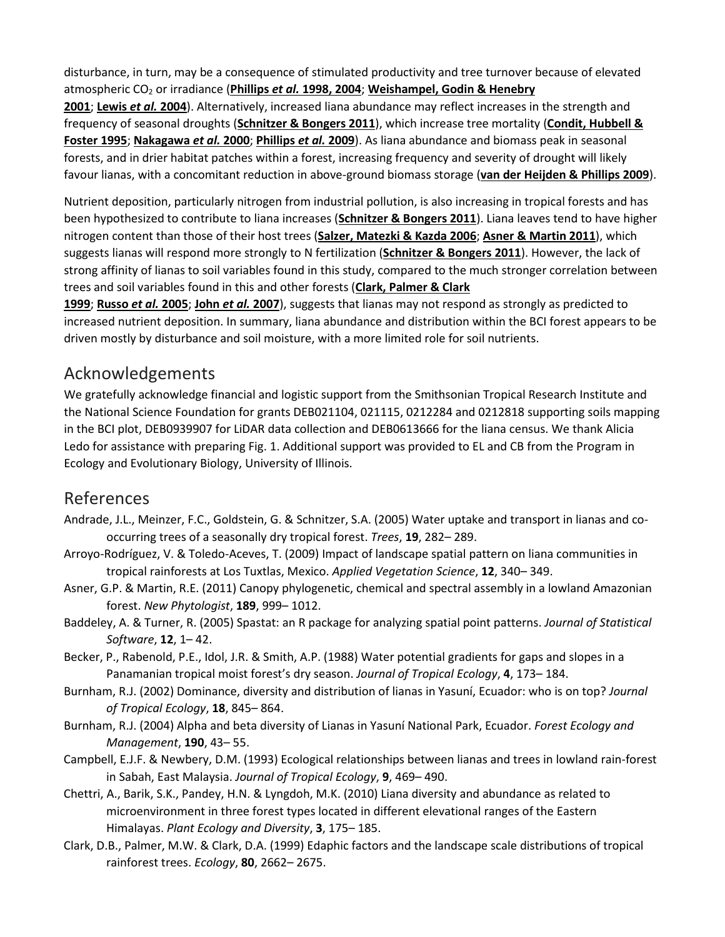disturbance, in turn, may be a consequence of stimulated productivity and tree turnover because of elevated atmospheric CO2 or irradiance (**Phillips** *et al.* **[1998, 2004](https://besjournals.onlinelibrary.wiley.com/doi/full/10.1111/j.1365-2745.2012.01989.x#b41%20#b43)**; **[Weishampel, Godin & Henebry](https://besjournals.onlinelibrary.wiley.com/doi/full/10.1111/j.1365-2745.2012.01989.x#b65)** 

**[2001](https://besjournals.onlinelibrary.wiley.com/doi/full/10.1111/j.1365-2745.2012.01989.x#b65)**; **[Lewis](https://besjournals.onlinelibrary.wiley.com/doi/full/10.1111/j.1365-2745.2012.01989.x#b35)** *et al.* **2004**). Alternatively, increased liana abundance may reflect increases in the strength and frequency of seasonal droughts (**[Schnitzer & Bongers 2011](https://besjournals.onlinelibrary.wiley.com/doi/full/10.1111/j.1365-2745.2012.01989.x#b56)**), which increase tree mortality (**[Condit, Hubbell &](https://besjournals.onlinelibrary.wiley.com/doi/full/10.1111/j.1365-2745.2012.01989.x#b11)  [Foster 1995](https://besjournals.onlinelibrary.wiley.com/doi/full/10.1111/j.1365-2745.2012.01989.x#b11)**; **[Nakagawa](https://besjournals.onlinelibrary.wiley.com/doi/full/10.1111/j.1365-2745.2012.01989.x#b38)** *et al.* **2000**; **[Phillips](https://besjournals.onlinelibrary.wiley.com/doi/full/10.1111/j.1365-2745.2012.01989.x#b44)** *et al.* **2009**). As liana abundance and biomass peak in seasonal forests, and in drier habitat patches within a forest, increasing frequency and severity of drought will likely favour lianas, with a concomitant reduction in above-ground biomass storage (**[van der Heijden & Phillips 2009](https://besjournals.onlinelibrary.wiley.com/doi/full/10.1111/j.1365-2745.2012.01989.x#b27)**).

Nutrient deposition, particularly nitrogen from industrial pollution, is also increasing in tropical forests and has been hypothesized to contribute to liana increases (**[Schnitzer & Bongers 2011](https://besjournals.onlinelibrary.wiley.com/doi/full/10.1111/j.1365-2745.2012.01989.x#b56)**). Liana leaves tend to have higher nitrogen content than those of their host trees (**[Salzer, Matezki & Kazda 2006](https://besjournals.onlinelibrary.wiley.com/doi/full/10.1111/j.1365-2745.2012.01989.x#b53)**; **[Asner & Martin 2011](https://besjournals.onlinelibrary.wiley.com/doi/full/10.1111/j.1365-2745.2012.01989.x#b3)**), which suggests lianas will respond more strongly to N fertilization (**[Schnitzer & Bongers 2011](https://besjournals.onlinelibrary.wiley.com/doi/full/10.1111/j.1365-2745.2012.01989.x#b56)**). However, the lack of strong affinity of lianas to soil variables found in this study, compared to the much stronger correlation between trees and soil variables found in this and other forests (**[Clark, Palmer & Clark](https://besjournals.onlinelibrary.wiley.com/doi/full/10.1111/j.1365-2745.2012.01989.x#b10)** 

**[1999](https://besjournals.onlinelibrary.wiley.com/doi/full/10.1111/j.1365-2745.2012.01989.x#b10)**; **[Russo](https://besjournals.onlinelibrary.wiley.com/doi/full/10.1111/j.1365-2745.2012.01989.x#b52)** *et al.* **2005**; **John** *et al.* **[2007](https://besjournals.onlinelibrary.wiley.com/doi/full/10.1111/j.1365-2745.2012.01989.x#b31)**), suggests that lianas may not respond as strongly as predicted to increased nutrient deposition. In summary, liana abundance and distribution within the BCI forest appears to be driven mostly by disturbance and soil moisture, with a more limited role for soil nutrients.

# Acknowledgements

We gratefully acknowledge financial and logistic support from the Smithsonian Tropical Research Institute and the National Science Foundation for grants DEB021104, 021115, 0212284 and 0212818 supporting soils mapping in the BCI plot, DEB0939907 for LiDAR data collection and DEB0613666 for the liana census. We thank Alicia Ledo for assistance with preparing Fig. 1. Additional support was provided to EL and CB from the Program in Ecology and Evolutionary Biology, University of Illinois.

# References

- Andrade, J.L., Meinzer, F.C., Goldstein, G. & Schnitzer, S.A. (2005) Water uptake and transport in lianas and cooccurring trees of a seasonally dry tropical forest. *Trees*, **19**, 282– 289.
- Arroyo-Rodríguez, V. & Toledo-Aceves, T. (2009) Impact of landscape spatial pattern on liana communities in tropical rainforests at Los Tuxtlas, Mexico. *Applied Vegetation Science*, **12**, 340– 349.
- Asner, G.P. & Martin, R.E. (2011) Canopy phylogenetic, chemical and spectral assembly in a lowland Amazonian forest. *New Phytologist*, **189**, 999– 1012.
- Baddeley, A. & Turner, R. (2005) Spastat: an R package for analyzing spatial point patterns. *Journal of Statistical Software*, **12**, 1– 42.
- Becker, P., Rabenold, P.E., Idol, J.R. & Smith, A.P. (1988) Water potential gradients for gaps and slopes in a Panamanian tropical moist forest's dry season. *Journal of Tropical Ecology*, **4**, 173– 184.
- Burnham, R.J. (2002) Dominance, diversity and distribution of lianas in Yasuní, Ecuador: who is on top? *Journal of Tropical Ecology*, **18**, 845– 864.
- Burnham, R.J. (2004) Alpha and beta diversity of Lianas in Yasuní National Park, Ecuador. *Forest Ecology and Management*, **190**, 43– 55.
- Campbell, E.J.F. & Newbery, D.M. (1993) Ecological relationships between lianas and trees in lowland rain-forest in Sabah, East Malaysia. *Journal of Tropical Ecology*, **9**, 469– 490.
- Chettri, A., Barik, S.K., Pandey, H.N. & Lyngdoh, M.K. (2010) Liana diversity and abundance as related to microenvironment in three forest types located in different elevational ranges of the Eastern Himalayas. *Plant Ecology and Diversity*, **3**, 175– 185.
- Clark, D.B., Palmer, M.W. & Clark, D.A. (1999) Edaphic factors and the landscape scale distributions of tropical rainforest trees. *Ecology*, **80**, 2662– 2675.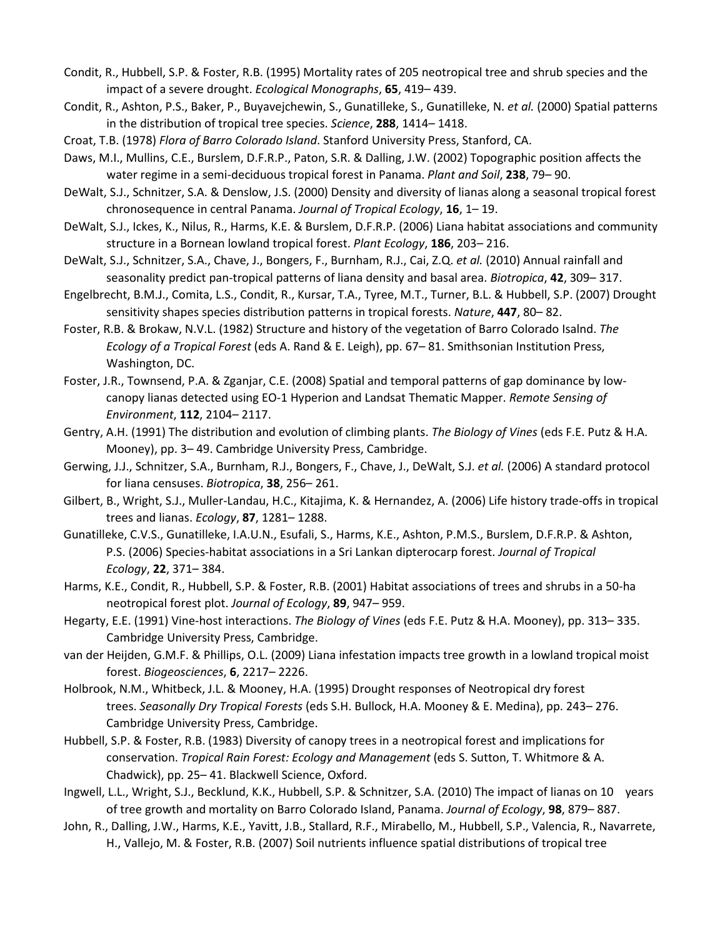- Condit, R., Hubbell, S.P. & Foster, R.B. (1995) Mortality rates of 205 neotropical tree and shrub species and the impact of a severe drought. *Ecological Monographs*, **65**, 419– 439.
- Condit, R., Ashton, P.S., Baker, P., Buyavejchewin, S., Gunatilleke, S., Gunatilleke, N. *et al.* (2000) Spatial patterns in the distribution of tropical tree species. *Science*, **288**, 1414– 1418.
- Croat, T.B. (1978) *Flora of Barro Colorado Island*. Stanford University Press, Stanford, CA.
- Daws, M.I., Mullins, C.E., Burslem, D.F.R.P., Paton, S.R. & Dalling, J.W. (2002) Topographic position affects the water regime in a semi-deciduous tropical forest in Panama. *Plant and Soil*, **238**, 79– 90.
- DeWalt, S.J., Schnitzer, S.A. & Denslow, J.S. (2000) Density and diversity of lianas along a seasonal tropical forest chronosequence in central Panama. *Journal of Tropical Ecology*, **16**, 1– 19.
- DeWalt, S.J., Ickes, K., Nilus, R., Harms, K.E. & Burslem, D.F.R.P. (2006) Liana habitat associations and community structure in a Bornean lowland tropical forest. *Plant Ecology*, **186**, 203– 216.
- DeWalt, S.J., Schnitzer, S.A., Chave, J., Bongers, F., Burnham, R.J., Cai, Z.Q. *et al.* (2010) Annual rainfall and seasonality predict pan-tropical patterns of liana density and basal area. *Biotropica*, **42**, 309– 317.
- Engelbrecht, B.M.J., Comita, L.S., Condit, R., Kursar, T.A., Tyree, M.T., Turner, B.L. & Hubbell, S.P. (2007) Drought sensitivity shapes species distribution patterns in tropical forests. *Nature*, **447**, 80– 82.
- Foster, R.B. & Brokaw, N.V.L. (1982) Structure and history of the vegetation of Barro Colorado Isalnd. *The Ecology of a Tropical Forest* (eds A. Rand & E. Leigh), pp. 67– 81. Smithsonian Institution Press, Washington, DC.
- Foster, J.R., Townsend, P.A. & Zganjar, C.E. (2008) Spatial and temporal patterns of gap dominance by lowcanopy lianas detected using EO-1 Hyperion and Landsat Thematic Mapper. *Remote Sensing of Environment*, **112**, 2104– 2117.
- Gentry, A.H. (1991) The distribution and evolution of climbing plants. *The Biology of Vines* (eds F.E. Putz & H.A. Mooney), pp. 3– 49. Cambridge University Press, Cambridge.
- Gerwing, J.J., Schnitzer, S.A., Burnham, R.J., Bongers, F., Chave, J., DeWalt, S.J. *et al.* (2006) A standard protocol for liana censuses. *Biotropica*, **38**, 256– 261.
- Gilbert, B., Wright, S.J., Muller-Landau, H.C., Kitajima, K. & Hernandez, A. (2006) Life history trade-offs in tropical trees and lianas. *Ecology*, **87**, 1281– 1288.
- Gunatilleke, C.V.S., Gunatilleke, I.A.U.N., Esufali, S., Harms, K.E., Ashton, P.M.S., Burslem, D.F.R.P. & Ashton, P.S. (2006) Species-habitat associations in a Sri Lankan dipterocarp forest. *Journal of Tropical Ecology*, **22**, 371– 384.
- Harms, K.E., Condit, R., Hubbell, S.P. & Foster, R.B. (2001) Habitat associations of trees and shrubs in a 50-ha neotropical forest plot. *Journal of Ecology*, **89**, 947– 959.
- Hegarty, E.E. (1991) Vine-host interactions. *The Biology of Vines* (eds F.E. Putz & H.A. Mooney), pp. 313– 335. Cambridge University Press, Cambridge.
- van der Heijden, G.M.F. & Phillips, O.L. (2009) Liana infestation impacts tree growth in a lowland tropical moist forest. *Biogeosciences*, **6**, 2217– 2226.
- Holbrook, N.M., Whitbeck, J.L. & Mooney, H.A. (1995) Drought responses of Neotropical dry forest trees. *Seasonally Dry Tropical Forests* (eds S.H. Bullock, H.A. Mooney & E. Medina), pp. 243– 276. Cambridge University Press, Cambridge.
- Hubbell, S.P. & Foster, R.B. (1983) Diversity of canopy trees in a neotropical forest and implications for conservation. *Tropical Rain Forest: Ecology and Management* (eds S. Sutton, T. Whitmore & A. Chadwick), pp. 25– 41. Blackwell Science, Oxford.
- Ingwell, L.L., Wright, S.J., Becklund, K.K., Hubbell, S.P. & Schnitzer, S.A. (2010) The impact of lianas on 10 years of tree growth and mortality on Barro Colorado Island, Panama. *Journal of Ecology*, **98**, 879– 887.
- John, R., Dalling, J.W., Harms, K.E., Yavitt, J.B., Stallard, R.F., Mirabello, M., Hubbell, S.P., Valencia, R., Navarrete, H., Vallejo, M. & Foster, R.B. (2007) Soil nutrients influence spatial distributions of tropical tree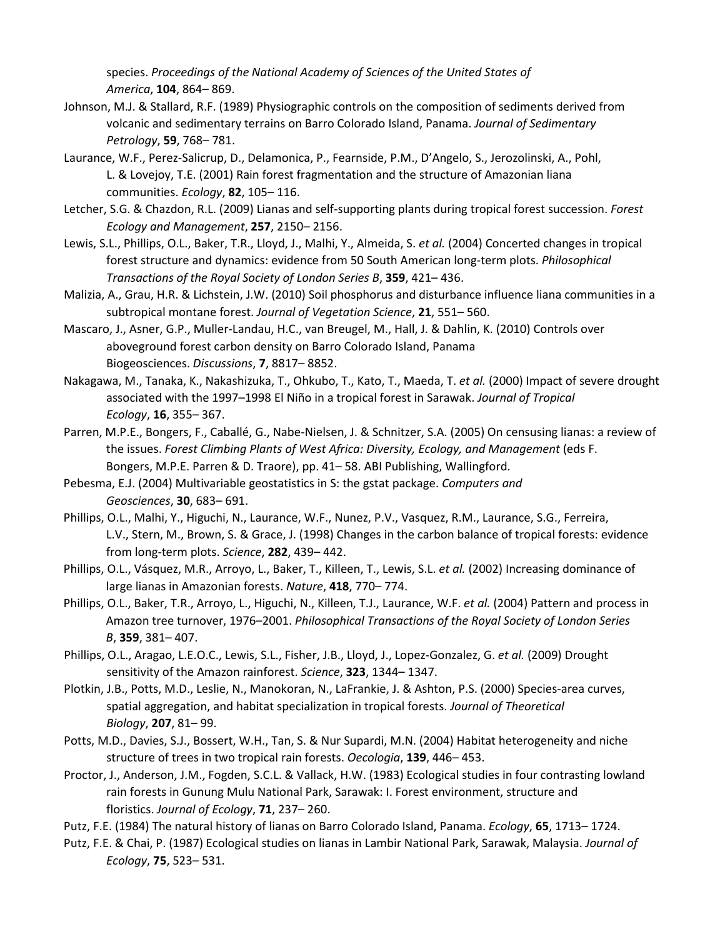species. *Proceedings of the National Academy of Sciences of the United States of America*, **104**, 864– 869.

- Johnson, M.J. & Stallard, R.F. (1989) Physiographic controls on the composition of sediments derived from volcanic and sedimentary terrains on Barro Colorado Island, Panama. *Journal of Sedimentary Petrology*, **59**, 768– 781.
- Laurance, W.F., Perez-Salicrup, D., Delamonica, P., Fearnside, P.M., D'Angelo, S., Jerozolinski, A., Pohl, L. & Lovejoy, T.E. (2001) Rain forest fragmentation and the structure of Amazonian liana communities. *Ecology*, **82**, 105– 116.
- Letcher, S.G. & Chazdon, R.L. (2009) Lianas and self-supporting plants during tropical forest succession. *Forest Ecology and Management*, **257**, 2150– 2156.
- Lewis, S.L., Phillips, O.L., Baker, T.R., Lloyd, J., Malhi, Y., Almeida, S. *et al.* (2004) Concerted changes in tropical forest structure and dynamics: evidence from 50 South American long-term plots. *Philosophical Transactions of the Royal Society of London Series B*, **359**, 421– 436.
- Malizia, A., Grau, H.R. & Lichstein, J.W. (2010) Soil phosphorus and disturbance influence liana communities in a subtropical montane forest. *Journal of Vegetation Science*, **21**, 551– 560.
- Mascaro, J., Asner, G.P., Muller-Landau, H.C., van Breugel, M., Hall, J. & Dahlin, K. (2010) Controls over aboveground forest carbon density on Barro Colorado Island, Panama Biogeosciences. *Discussions*, **7**, 8817– 8852.
- Nakagawa, M., Tanaka, K., Nakashizuka, T., Ohkubo, T., Kato, T., Maeda, T. *et al.* (2000) Impact of severe drought associated with the 1997–1998 El Niño in a tropical forest in Sarawak. *Journal of Tropical Ecology*, **16**, 355– 367.
- Parren, M.P.E., Bongers, F., Caballé, G., Nabe-Nielsen, J. & Schnitzer, S.A. (2005) On censusing lianas: a review of the issues. *Forest Climbing Plants of West Africa: Diversity, Ecology, and Management* (eds F. Bongers, M.P.E. Parren & D. Traore), pp. 41– 58. ABI Publishing, Wallingford.
- Pebesma, E.J. (2004) Multivariable geostatistics in S: the gstat package. *Computers and Geosciences*, **30**, 683– 691.
- Phillips, O.L., Malhi, Y., Higuchi, N., Laurance, W.F., Nunez, P.V., Vasquez, R.M., Laurance, S.G., Ferreira, L.V., Stern, M., Brown, S. & Grace, J. (1998) Changes in the carbon balance of tropical forests: evidence from long-term plots. *Science*, **282**, 439– 442.
- Phillips, O.L., Vásquez, M.R., Arroyo, L., Baker, T., Killeen, T., Lewis, S.L. *et al.* (2002) Increasing dominance of large lianas in Amazonian forests. *Nature*, **418**, 770– 774.
- Phillips, O.L., Baker, T.R., Arroyo, L., Higuchi, N., Killeen, T.J., Laurance, W.F. *et al.* (2004) Pattern and process in Amazon tree turnover, 1976–2001. *Philosophical Transactions of the Royal Society of London Series B*, **359**, 381– 407.
- Phillips, O.L., Aragao, L.E.O.C., Lewis, S.L., Fisher, J.B., Lloyd, J., Lopez-Gonzalez, G. *et al.* (2009) Drought sensitivity of the Amazon rainforest. *Science*, **323**, 1344– 1347.
- Plotkin, J.B., Potts, M.D., Leslie, N., Manokoran, N., LaFrankie, J. & Ashton, P.S. (2000) Species-area curves, spatial aggregation, and habitat specialization in tropical forests. *Journal of Theoretical Biology*, **207**, 81– 99.
- Potts, M.D., Davies, S.J., Bossert, W.H., Tan, S. & Nur Supardi, M.N. (2004) Habitat heterogeneity and niche structure of trees in two tropical rain forests. *Oecologia*, **139**, 446– 453.
- Proctor, J., Anderson, J.M., Fogden, S.C.L. & Vallack, H.W. (1983) Ecological studies in four contrasting lowland rain forests in Gunung Mulu National Park, Sarawak: I. Forest environment, structure and floristics. *Journal of Ecology*, **71**, 237– 260.
- Putz, F.E. (1984) The natural history of lianas on Barro Colorado Island, Panama. *Ecology*, **65**, 1713– 1724.
- Putz, F.E. & Chai, P. (1987) Ecological studies on lianas in Lambir National Park, Sarawak, Malaysia. *Journal of Ecology*, **75**, 523– 531.